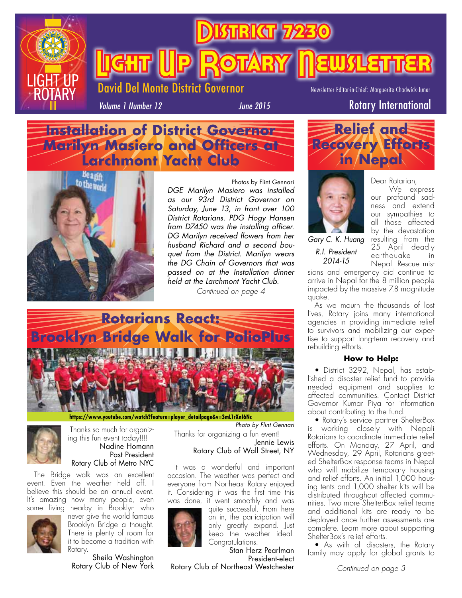

**Bikar** 

**Light (Up Rotary Newsletter** 

Newsletter Editor-in-Chief: Marguerite Chadwick-Juner

*Volume 1 Number 12*

*June 2015* Rotary International

## **Installation of District Governor Marilyn Masiero and Officers at Larchmont Yacht Club**

Del Monte District Governor



Photos by Flint Gennari *DGE Marilyn Masiero was installed as our 93rd District Governor on Saturday, June 13, in front over 100 District Rotarians. PDG Hogy Hansen from D7450 was the installing officer. DG Marilyn received flowers from her husband Richard and a second bouquet from the District. Marilyn wears the DG Chain of Governors that was passed on at the Installation dinner held at the Larchmont Yacht Club.*

*Continued on page 4*



**[https://www.youtube.com/watch?feature=player\\_detailpage&v=3mL1rXnI6Nc](https://www.youtube.com/watch?feature=player_detailpage&v=3mL1rXnI6Nc)**



 Thanks so much for organizing this fun event today!!!! Nadine Homann Past President Rotary Club of Metro NYC

 The Bridge walk was an excellent event. Even the weather held off. I believe this should be an annual event. It's amazing how many people, even some living nearby in Brooklyn who



never give the world famous Brooklyn Bridge a thought. There is plenty of room for it to become a tradition with Rotary.

Sheila Washington Rotary Club of New York Thanks for organizing a fun event! Jennie Lewis *Photo by Flint Gennari*

## Rotary Club of Wall Street, NY

It was a wonderful and important occasion. The weather was perfect and everyone from Northeast Rotary enjoyed it. Considering it was the first time this was done, it went smoothly and was



quite successful. From here on in, the participation will only greatly expand. Just keep the weather ideal. Congratulations! Stan Herz Pearlman

President-elect Rotary Club of Northeast Westchester



*Gary C. K. Huang R.I. President 2014-15*

We express our profound sadness and extend our sympathies to all those affected by the devastation resulting from the 25 April deadly earthquake in Nepal. Rescue mis-

Dear Rotarian,

sions and emergency aid continue to arrive in Nepal for the 8 million people impacted by the massive 7.8 magnitude quake.

As we mourn the thousands of lost lives, Rotary joins many international agencies in providing immediate relief to survivors and mobilizing our expertise to support long-term recovery and rebuilding efforts.

### **How to Help:**

 • District 3292, Nepal, has established a disaster relief fund to provide needed equipment and supplies to affected communities. Contact District Governor Kumar Piya for information about contributing to the fund.

 • Rotary's service partner ShelterBox is working closely with Nepali Rotarians to coordinate immediate relief efforts. On Monday, 27 April, and Wednesday, 29 April, Rotarians greeted ShelterBox response teams in Nepal who will mobilize temporary housing and relief efforts. An initial 1,000 housing tents and 1,000 shelter kits will be distributed throughout affected communities. Two more ShelterBox relief teams and additional kits are ready to be deployed once further assessments are complete. Learn more about supporting ShelterBox's relief efforts.

 • As with all disasters, the Rotary family may apply for global grants to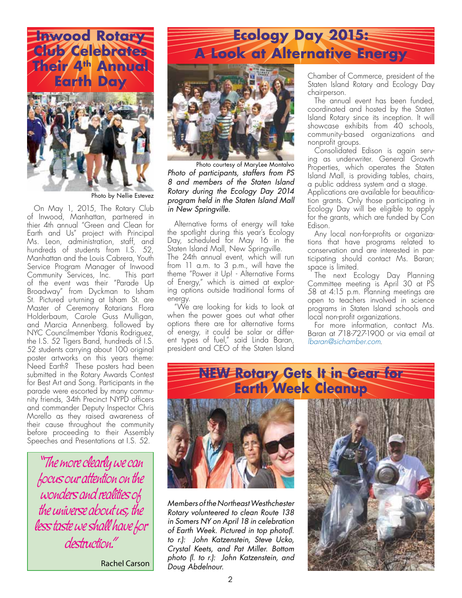

Photo by Nellie Estevez

On May 1, 2015, The Rotary Club *in New Springville.* of Inwood, Manhattan, partnered in thier 4th annual "Green and Clean for Earth and Us" project with Principal Ms. Leon, administration, staff, and hundreds of students from I.S. 52, Manhattan and the Louis Cabrera, Youth Service Program Manager of Inwood Community Services, Inc. This part of the event was their "Parade Up Broadway" from Dyckman to Isham St. Pictured u-turning at Isham St. are Master of Ceremony Rotarians Flora Holderbaum, Carole Guss Mulligan, and Marcia Annenberg. followed by NYC Councilmember Ydanis Rodriguez, the I.S. 52 Tigers Band, hundreds of I.S. 52 students carrying about 100 original poster artworks on this years theme: Need Earth? These posters had been submitted in the Rotary Awards Contest for Best Art and Song. Participants in the parade were escorted by many community friends, 34th Precinct NYPD officers and commander Deputy Inspector Chris Morello as they raised awareness of their cause throughout the community before proceeding to their Assembly Speeches and Presentations at I.S. 52.

"The more clearly we can focus our attention on the wonders and realities of the universe about us, the less taste we shall have for destruction."

Rachel Carson

# **Ecology Day 2015: A Look at Alternative Energy**



Photo courtesy of MaryLee Montalvo *Photo of participants, staffers from PS 8 and members of the Staten Island Rotary during the Ecology Day 2014 program held in the Staten Island Mall* 

Alternative forms of energy will take the spotlight during this year's Ecology Day, scheduled for May 16 in the Staten Island Mall, New Springville.

The 24th annual event, which will run from 11 a.m. to 3 p.m., will have the theme "Power it Up! - Alternative Forms of Energy," which is aimed at exploring options outside traditional forms of energy.

"We are looking for kids to look at when the power goes out what other options there are for alternative forms of energy, it could be solar or different types of fuel," said Linda Baran, president and CEO of the Staten Island

Chamber of Commerce, president of the Staten Island Rotary and Ecology Day chairperson.

The annual event has been funded, coordinated and hosted by the Staten Island Rotary since its inception. It will showcase exhibits from 40 schools, community-based organizations and nonprofit groups.

Consolidated Edison is again serving as underwriter. General Growth Properties, which operates the Staten Island Mall, is providing tables, chairs, a public address system and a stage.

Applications are available for beautification grants. Only those participating in Ecology Day will be eligible to apply for the grants, which are funded by Con Edison.

Any local non-for-profits or organizations that have programs related to conservation and are interested in participating should contact Ms. Baran; space is limited.

The next Ecology Day Planning Committee meeting is April 30 at PS 58 at 4:15 p.m. Planning meetings are open to teachers involved in science programs in Staten Island schools and local non-profit organizations.

For more information, contact Ms. Baran at 718-727-1900 or via email at *lbaran@sichamber.com*.

# **NEW Rotary Gets It in Gear for Earth Week Cleanup**



*Members of the Northeast Westhchester Rotary volunteered to clean Route 138 in Somers NY on April 18 in celebration of Earth Week. Pictured in top photo(l. to r.): John Katzenstein, Steve Ucko, Crystal Keets, and Pat Miller. Bottom photo (l. to r.): John Katzenstein, and Doug Abdelnour.*

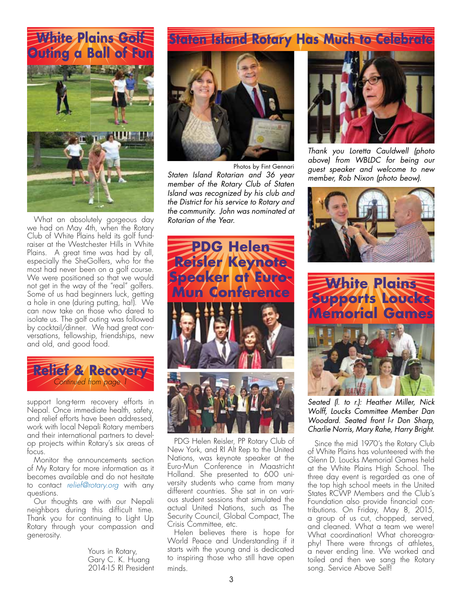# White Plains Golf **Outing a Ball of Fun**



What an absolutely gorgeous day we had on May 4th, when the Rotary Club of White Plains held its golf fundraiser at the Westchester Hills in White Plains. A great time was had by all, especially the SheGolfers, who for the most had never been on a golf course. We were positioned so that we would not get in the way of the "real" golfers. Some of us had beginners luck, getting a hole in one (during putting, ha!). We can now take on those who dared to isolate us. The golf outing was followed by cocktail/dinner. We had great conversations, fellowship, friendships, new and old, and good food.



support long-term recovery efforts in Nepal. Once immediate health, safety, and relief efforts have been addressed, work with local Nepali Rotary members and their international partners to develop projects within Rotary's six areas of focus.

Monitor the announcements section of My Rotary for more information as it becomes available and do not hesitate to contact *relief@rotary.org* with any questions.

Our thoughts are with our Nepali neighbors during this difficult time. Thank you for continuing to Light Up Rotary through your compassion and generosity.

> Yours in Rotary, Gary C. K. Huang 2014-15 RI President

# **Staten Island Rotary Has Much to Celebrate**



Photos by Fint Gennari

*Staten Island Rotarian and 36 year member of the Rotary Club of Staten Island was recognized by his club and the District for his service to Rotary and the community. John was nominated at Rotarian of the Year.*



PDG Helen Reisler, PP Rotary Club of New York, and RI Alt Rep to the United Nations, was keynote speaker at the Euro-Mun Conference in Maastricht Holland. She presented to 600 university students who came from many different countries. She sat in on various student sessions that simulated the actual United Nations, such as The Security Council, Global Compact, The Crisis Committee, etc.

Helen believes there is hope for World Peace and Understanding if it starts with the young and is dedicated to inspiring those who still have open minds.



*Thank you Loretta Cauldwell (photo above) from WBLDC for being our guest speaker and welcome to new member, Rob Nixon (photo beow).*





*Seated (l. to r.): Heather Miller, Nick Wolff, Loucks Committee Member Dan Woodard. Seated front l-r Don Sharp, Charlie Norris, Mary Rahe, Harry Bright.*

 Since the mid 1970's the Rotary Club of White Plains has volunteered with the Glenn D. Loucks Memorial Games held at the White Plains High School. The three day event is regarded as one of the top high school meets in the United States RCWP Members and the Club's Foundation also provide financial contributions. On Friday, May 8, 2015, a group of us cut, chopped, served, and cleaned. What a team we were! What coordination! What choreography! There were throngs of athletes, a never ending line. We worked and toiled and then we sang the Rotary song. Service Above Self!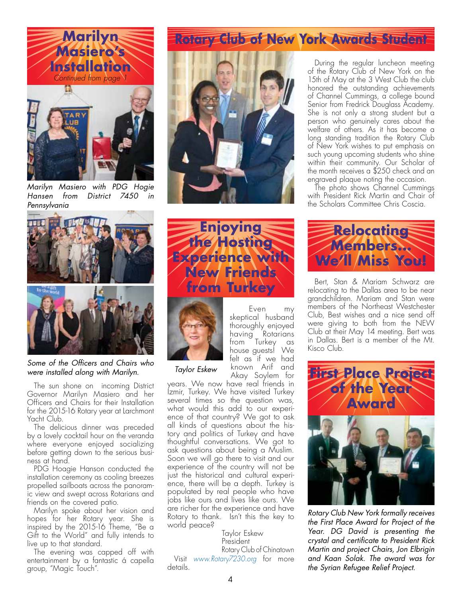



*Marilyn Masiero with PDG Hogie Hansen from District 7450 in Pennsylvania*



*Some of the Officers and Chairs who were installed along with Marilyn.*

The sun shone on incoming District Governor Marilyn Masiero and her Officers and Chairs for their Installation for the 2015-16 Rotary year at Larchmont Yacht Club.

The delicious dinner was preceded by a lovely cocktail hour on the veranda where everyone enjoyed socializing before getting down to the serious business at hand.

PDG Hoagie Hanson conducted the installation ceremony as cooling breezes propelled sailboats across the panoramic view and swept across Rotarians and friends on the covered patio.

Marilyn spoke about her vision and hopes for her Rotary year. She is inspired by the 2015-16 Theme, "Be a Gift to the World" and fully intends to live up to that standard.

The evening was capped off with entertainment by a fantastic á capella group, "Magic Touch".

## of Channel Cummings, a college bound Senior from Fredrick Douglass Academy. She is not only a strong student but a

person who genuinely cares about the welfare of others. As it has become a long standing tradition the Rotary Club of New York wishes to put emphasis on such young upcoming students who shine within their community. Our Scholar of the month receives a \$250 check and an engraved plaque noting the occasion.

honored the outstanding achievements

The photo shows Channel Cummings with President Rick Martin and Chair of the Scholars Committee Chris Coscia.





Even my skeptical husband thoroughly enjoyed having Rotarians from Turkey as house guests! We felt as if we had known Arif and Akay Soylem for

*Taylor Eskew*

years. We now have real friends in Izmir, Turkey. We have visited Turkey several times so the question was, what would this add to our experience of that country? We got to ask all kinds of questions about the history and politics of Turkey and have thoughtful conversations. We got to ask questions about being a Muslim. Soon we will go there to visit and our experience of the country will not be just the historical and cultural experience, there will be a depth. Turkey is populated by real people who have jobs like ours and lives like ours. We are richer for the experience and have Rotary to thank. Isn't this the key to world peace?

 Taylor Eskew President Rotary Club of Chinatown Visit *[www.Rotary7230.org](http://www.Rotary7230.org)* for more details.

**Relocating Members... We'll Miss You!**

 Bert, Stan & Mariam Schwarz are relocating to the Dallas area to be near grandchildren. Mariam and Stan were members of the Northeast Westchester Club, Best wishes and a nice send off were giving to both from the NEW Club at their May 14 meeting. Bert was in Dallas. Bert is a member of the Mt. Kisco Club.



*Rotary Club New York formally receives the First Place Award for Project of the Year. DG David is presenting the crystal and certificate to President Rick Martin and project Chairs, Jon Elbrigin and Kaan Solak. The award was for the Syrian Refugee Relief Project.*

#### During the regular luncheon meeting of the Rotary Club of New York on the 15th of May at the 3 West Club the club

**Rotary Club of New York Awards Student**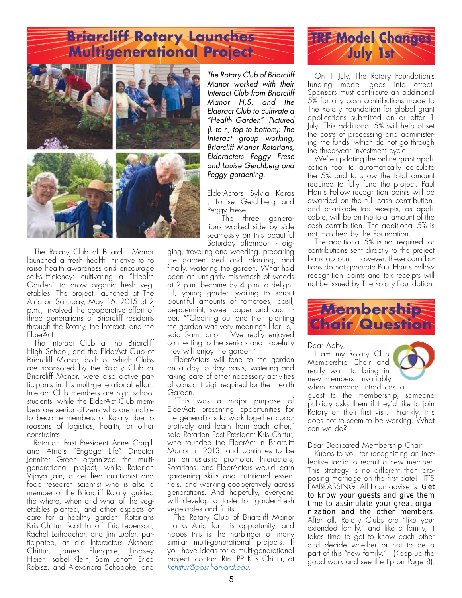# **Briarcliff Rotary Launches Multigenerational Project**



 The Rotary Club of Briarcliff Manor launched a fresh health initiative to to raise health awareness and encourage self-sufficiency: cultivating a "Health Garden" to grow organic fresh vegetables. The project, launched at The Atria on Saturday, May 16, 2015 at 2 p.m., involved the cooperative effort of three generations of Briarcliff residents through the Rotary, the Interact, and the ElderAct.

 The Interact Club at the Briarcliff High School, and the ElderAct Club of Briarcliff Manor, both of which Clubs are sponsored by the Rotary Club or Briarcliff Manor, were also active participants in this multi-generational effort. Interact Club members are high school students, while the ElderAct Club members are senior citizens who are unable to become members of Rotary due to reasons of logistics, health, or other constraints.

Rotarian Past President Anne Cargill and Atria's "Engage Life" Director Jennifer Green organized the multigenerational project, while Rotarian Vijaya Jain, a certified nutritionist and food research scientist who is also a member of the Briarcliff Rotary, guided the where, when and what of the vegetables planted, and other aspects of care for a healthy garden. Rotarians Kris Chittur, Scott Lanoff, Eric Lebenson, Rachel Leihbacher, and Jim Lupfer, participated, as did Interactors Akshara Chittur, James Fludgate, Lindsey Heier, Isabel Klein, Sam Lanoff, Erica Rebisz, and Alexandra Schoepke, and

*The Rotary Club of Briarcliff Manor worked with their Interact Club from Briarcliff Manor H.S. and the Elderact Club to cultivate a "Health Garden". Pictured (l. to r., top to bottom): The Interact group working, Briarcliff Manor Rotarians, Elderacters Peggy Frese and Louise Gerchberg and Peggy gardening.*

ElderActors Sylvia Karas , Louise Gerchberg and Peggy Frese.

The three generations worked side by side seamessly on this beautiful Saturday afternoon - dig-

ging, troveling and weeding, preparing the garden bed and planting, and finally, watering the garden. What had been an unsightly mish-mash of weeds at 2 p.m. became by 4 p.m. a delightful, young garden waiting to sprout bountiful amounts of tomatoes, basil, peppermint, sweet paper and cucumber. ""Cleaning out and then planting the garden was very meaningful for us," said Sam Lanoff. "We really enjoyed connecting to the seniors and hopefully they will enjoy the garden."

ElderActors will tend to the garden on a day to day basis, watering and taking care of other necessary activities of constant vigil required for the Health Garden.

"This was a major purpose of ElderAct: presenting opportunities for the generations to work together cooperatively and learn from each other," said Rotarian Past President Kris Chittur, who founded the ElderAct in Briarcliff Manor in 2013, and continues to be an enthusiastic promoter. Interactors, Rotarians, and ElderActors would learn gardening skills and nutritional essentials, and working cooperatively across generations. And hopefully, everyone will develop a taste for garden-fresh vegetables and fruits.

 The Rotary Club of Briarcliff Manor thanks Atria<sup>'</sup> for this opportunity, and hopes this is the harbinger of many similar multi-generational projects. If you have ideas for a multi-generational project, contact Rtn. PP Kris Chittur, at *kchittur@post.harvard.edu*.



 On 1 July, The Rotary Foundation's funding model goes into effect. Sponsors must contribute an additional 5% for any cash contributions made to The Rotary Foundation for global grant applications submitted on or after 1 July. This additional 5% will help offset the costs of processing and administering the funds, which do not go through the three-year investment cycle.

We're updating the online grant application tool to automatically calculate the 5% and to show the total amount required to fully fund the project. Paul Harris Fellow recognition points will be awarded on the full cash contribution, and charitable tax receipts, as applicable, will be on the total amount of the cash contribution. The additional 5% is not matched by the Foundation.

The additional 5% is not required for contributions sent directly to the project bank account. However, these contributions do not generate Paul Harris Fellow recognition points and tax receipts will not be issued by The Rotary Foundation.



Dear Abby,

I am my Rotary Club Membership Chair and really want to bring in new members. Invariably, when someone introduces a



guest to the membership, someone publicly asks them if they'd like to join Rotary on their first visit. Frankly, this does not to seem to be working. What can we do?

Dear Dedicated Membership Chair,

Kudos to you for recognizing an ineffective tactic to recruit a new member. This strategy is no different than proposing marriage on the first date! IT'S EMBRASSING! All I can advise is: *Get to know your guests and give them time to assimulate your great organization and the other members*. After all, Rotary Clubs are "like your extended family," and like a family, it takes time to get to know each other and decide whether or not to be a part of this "new family." (Keep up the good work and see the tip on Page 8).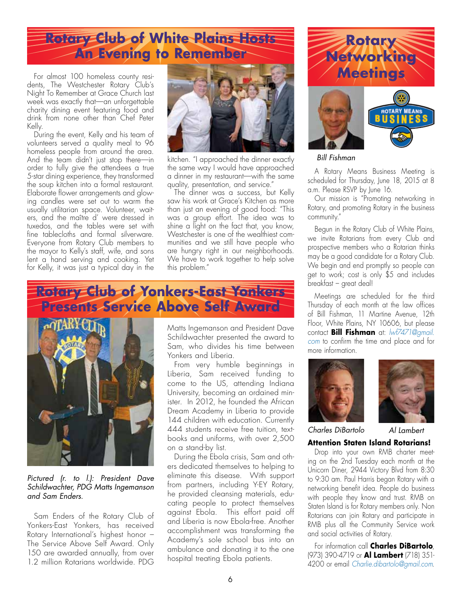# **Rotary Club of White Plains Hosts Botary Rotary of White Plains Hosts Botary Rotary**

For almost 100 homeless county residents, The Westchester Rotary Club's Night To Remember at Grace Church last week was exactly that—an unforgettable charity dining event featuring food and drink from none other than Chef Peter Kelly.

During the event, Kelly and his team of volunteers served a quality meal to 96 homeless people from around the area. And the team didn't just stop there—in order to fully give the attendees a true 5-star dining experience, they transformed the soup kitchen into a formal restaurant. Elaborate flower arrangements and glowing candles were set out to warm the usually utilitarian space. Volunteer, waiters, and the maître d' were dressed in tuxedos, and the tables were set with fine tablecloths and formal silverware. Everyone from Rotary Club members to the mayor to Kelly's staff, wife, and sons lent a hand serving and cooking. Yet for Kelly, it was just a typical day in the



kitchen. "I approached the dinner exactly the same way I would have approached a dinner in my restaurant—with the same quality, presentation, and service."

The dinner was a success, but Kelly saw his work at Grace's Kitchen as more than just an evening of good food: "This was a group effort. The idea was to shine a light on the fact that, you know, Westchester is one of the wealthiest communities and we still have people who are hungry right in our neighborhoods. We have to work together to help solve this problem."

# **Rotary Club of Yonkers-East Yonkers Presents Service Above Self Award**



*Pictured (r. to l.): President Dave Schildwachter, PDG Matts Ingemanson and Sam Enders.*

Sam Enders of the Rotary Club of Yonkers-East Yonkers, has received Rotary International's highest honor – The Service Above Self Award. Only 150 are awarded annually, from over 1.2 million Rotarians worldwide. PDG

Matts Ingemanson and President Dave Schildwachter presented the award to Sam, who divides his time between Yonkers and Liberia.

From very humble beginnings in Liberia, Sam received funding to come to the US, attending Indiana University, becoming an ordained minister. In 2012, he founded the African Dream Academy in Liberia to provide 144 children with education. Currently 444 students receive free tuition, textbooks and uniforms, with over 2,500 on a stand-by list.

 During the Ebola crisis, Sam and others dedicated themselves to helping to eliminate this disease. With support from partners, including Y-EY Rotary, he provided cleansing materials, educating people to protect themselves against Ebola. This effort paid off and Liberia is now Ebola-free. Another accomplishment was transforming the Academy's sole school bus into an ambulance and donating it to the one hospital treating Ebola patients.



*Bill Fishman*

 A Rotary Means Business Meeting is scheduled for Thursday, June 18, 2015 at 8 a.m. Please RSVP by June 16.

Our mission is "Promoting networking in Rotary, and promoting Rotary in the business community."

 Begun in the Rotary Club of White Plains, we invite Rotarians from every Club and prospective members who a Rotarian thinks may be a good candidate for a Rotary Club. We begin and end promptly so people can get to work; cost is only \$5 and includes breakfast – great deal!

Meetings are scheduled for the third Thursday of each month at the law offices of Bill Fishman, 11 Martine Avenue, 12th Floor, White Plains, NY 10606, but please contact **Bill Fishman** at: *lwf7471@gmail. com* to confirm the time and place and for more information.





*Charles DiBartolo Al Lambert*

**Attention Staten Island Rotarians!**  Drop into your own RMB charter meeting on the 2nd Tuesday each month at the Unicorn Diner, 2944 Victory Blvd from 8:30 to 9:30 am. Paul Harris began Rotary with a networking benefit idea. People do business with people they know and trust. RMB on Staten Island is for Rotary members only. Non Rotarians can join Rotary and participate in RMB plus all the Community Service work and social activities of Rotary.

For information call **Charles DiBartolo**, (973) 390-4719 or **Al Lambert** (718) 351- 4200 or email *Charlie.dibartolo@gmail.com*.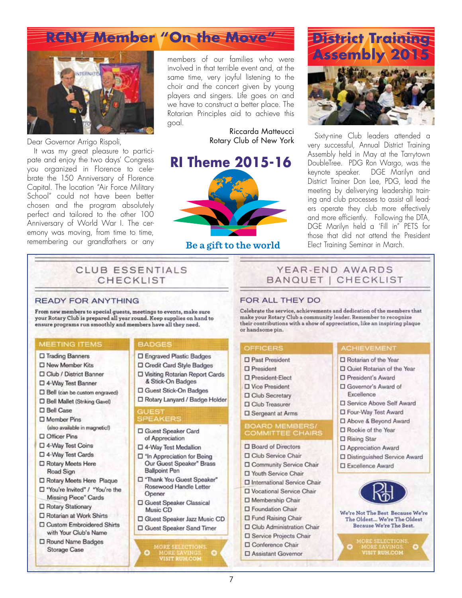# **RCNY Member "On the Move"**



Dear Governor Arrigo Rispoli,

It was my great pleasure to participate and enjoy the two days' Congress you organized in Florence to celebrate the 150 Anniversary of Florence Capital. The location "Air Force Military School" could not have been better chosen and the program absolutely perfect and tailored to the other 100 Anniversary of World War I. The ceremony was moving, from time to time, remembering our grandfathers or any

members of our families who were involved in that terrible event and, at the same time, very joyful listening to the choir and the concert given by young players and singers. Life goes on and we have to construct a better place. The Rotarian Principles aid to achieve this goal.

> Riccarda Matteucci Rotary Club of New York



Be a gift to the world



 Sixty-nine Club leaders attended a very successful, Annual District Training Assembly held in May at the Tarrytown DoubleTree. PDG Ron Wargo, was the keynote speaker. DGE Marilyn and District Trainer Don Lee, PDG, lead the meeting by deliverying leadership training and club processes to assist all leaders operate they club more effectively and more efficiently. Following the DTA, DGE Marilyn held a 'Fill in" PETS for those that did not attend the President Elect Training Seminar in March.

## CLUB ESSENTIALS CHECKLIST

#### **READY FOR ANYTHING**

From new members to special guests, meetings to events, make sure<br>your Rotary Club is prepared all year round. Keep supplies on hand to ensure programs run smoothly and members have all they need.

#### MEETING ITEMS

- □ Trading Banners
- □ New Member Kits
- D Club / District Banner
- □ 4-Way Test Banner
- D Bell (can be custom engraved)
- □ Bell Mallet (Striking Gavel)
- □ Bell Case
- D Member Pins (also available in magnetic!)
- □ Officer Pins
- □ 4-Way Test Coins
- □ 4-Way Test Cards
- □ Rotary Meets Here Road Sign
- □ Rotary Meets Here Plaque □ "You're Invited" / "You're the
- Missing Piece" Cards
- □ Rotary Stationary
- □ Rotarian at Work Shirts
- **D** Custom Embroidered Shirts with Your Club's Name
- □ Round Name Badges Storage Case

#### **BADGES**

- **D** Engraved Plastic Badges
- D Credit Card Style Badges
- D Visiting Rotarian Report Cards & Stick-On Badges
- D Guest Stick-On Badges
- □ Rotary Lanyard / Badge Holder

#### **GUEST SPEAKERS**

- □ Guest Speaker Card of Appreciation
- 4-Way Test Medallion
- n "In Appreciation for Being" Our Guest Speaker" Brass **Ballpoint Pen**
- T "Thank You Guest Speaker" Rosewood Handle Letter Opener
- □ Guest Speaker Classical Music CD
- C Guest Speaker Jazz Music CD □ Guest Speaker Sand Timer

ORE SELECTIONS<br>MORE EAVINGS<br>VISIT RUH.COM

## YEAR-END AWARDS BANQUET | CHECKLIST

FOR ALL THEY DO

Celebrate the service, achievements and dedication of the members that make your Rotary Club a community leader. Remember to recognize their contributions with a show of appreciation, like an inspiring plaque or handsome pin.

## **OFFICERS**

- **D** Past President
- $\square$  President
- □ President-Elect
- **D** Vice President
- **D** Club Secretary
- **D** Club Treasurer
- □ Sergeant at Arms

#### **BOARD MEMBERS/ COMMITTEE CHAIRS**

- **Board of Directors**
- Club Service Chair
- D Community Service Chair □ Youth Service Chair
- 
- **D** International Service Chair D Vocational Service Chair
- 
- □ Membership Chair
- **D** Foundation Chair
- **D** Fund Raising Chair
- O Club Administration Chair
- D Service Projects Chair
- □ Conference Chair
- □ Assistant Governor

## **ACHIEVEMENT**

- □ Rotarian of the Year
- D Quiet Rotarian of the Year
- D President's Award
- □ Governor's Award of Excellence
- D Service Above Self Award
- D Four-Way Test Award
- D Above & Beyond Award
- □ Rookie of the Year
- □ Rising Star
- D Appreciation Award
- D Distinguished Service Award
- **D** Excellence Award



We're Not The Best Because We're The Oldest... We're The Oldest Because We're The Best.

MORE SAVINGS.<br>VISIT RUH.COM